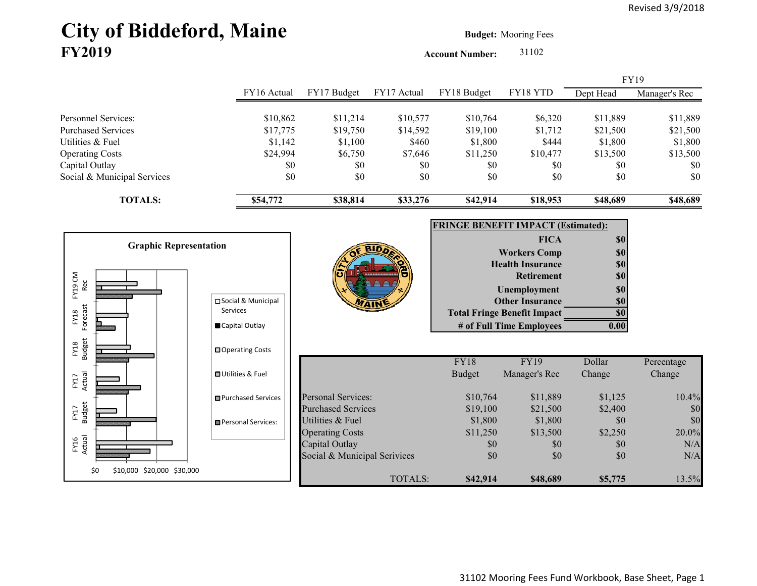# City of Biddeford, Maine **Budget: Mooring Fees FY2019**

**Account Number:** 31102

|                                   |                               |                              |             |                                           |                                    |            | FY19          |
|-----------------------------------|-------------------------------|------------------------------|-------------|-------------------------------------------|------------------------------------|------------|---------------|
|                                   | FY16 Actual                   | FY17 Budget                  | FY17 Actual | FY18 Budget                               | FY18 YTD                           | Dept Head  | Manager's Rec |
| Personnel Services:               | \$10,862                      | \$11,214                     | \$10,577    | \$10,764                                  | \$6,320                            | \$11,889   | \$11,889      |
| <b>Purchased Services</b>         | \$17,775                      | \$19,750                     | \$14,592    | \$19,100                                  | \$1,712                            | \$21,500   | \$21,500      |
| Utilities & Fuel                  | \$1,142                       | \$1,100                      | \$460       | \$1,800                                   | \$444                              | \$1,800    | \$1,800       |
| <b>Operating Costs</b>            | \$24,994                      | \$6,750                      | \$7,646     | \$11,250                                  | \$10,477                           | \$13,500   | \$13,500      |
| Capital Outlay                    | \$0                           | \$0                          | \$0         | \$0                                       | \$0                                | \$0        | \$0           |
| Social & Municipal Services       | \$0                           | \$0                          | \$0         | \$0                                       | \$0                                | \$0        | \$0           |
| <b>TOTALS:</b>                    | \$54,772                      | \$38,814                     | \$33,276    | \$42,914                                  | \$18,953                           | \$48,689   | \$48,689      |
|                                   |                               |                              |             | <b>FRINGE BENEFIT IMPACT (Estimated):</b> |                                    |            |               |
|                                   |                               |                              |             |                                           | <b>FICA</b>                        | \$0        |               |
| <b>Graphic Representation</b>     |                               |                              |             |                                           | <b>Workers Comp</b>                | \$0        |               |
|                                   |                               |                              |             |                                           | <b>Health Insurance</b>            | <b>\$0</b> |               |
|                                   |                               |                              |             |                                           | <b>Retirement</b>                  | \$0        |               |
| FY19 CM<br>Rec                    |                               |                              |             |                                           | Unemployment                       | \$0        |               |
|                                   | □ Social & Municipal          |                              |             |                                           | <b>Other Insurance</b>             | \$0        |               |
| FY18                              | <b>Services</b>               |                              |             |                                           | <b>Total Fringe Benefit Impact</b> | \$0        |               |
| Forecast                          | Capital Outlay                |                              |             |                                           | # of Full Time Employees           | 0.00       |               |
| FY18<br>Budget                    | □ Operating Costs             |                              |             |                                           |                                    |            |               |
|                                   |                               |                              |             | <b>FY18</b>                               | <b>FY19</b>                        | Dollar     | Percentage    |
|                                   | <b>□ Utilities &amp; Fuel</b> |                              |             | <b>Budget</b>                             | Manager's Rec                      | Change     | Change        |
| Actual<br>FY17                    |                               |                              |             |                                           |                                    |            |               |
|                                   | <b>□</b> Purchased Services   | <b>Personal Services:</b>    |             | \$10,764                                  | \$11,889                           | \$1,125    | 10.4%         |
| FY17<br>Budget                    |                               | <b>Purchased Services</b>    |             | \$19,100                                  | \$21,500                           | \$2,400    | \$0           |
|                                   | Personal Services:            | Utilities & Fuel             |             | \$1,800                                   | \$1,800                            | \$0        | \$0           |
|                                   |                               | <b>Operating Costs</b>       |             | \$11,250                                  | \$13,500                           | \$2,250    | 20.0%         |
| FY16<br>Actual                    |                               | Capital Outlay               |             | \$0                                       | \$0                                | \$0        | N/A           |
|                                   |                               | Social & Municipal Serivices |             | \$0                                       | \$0                                | \$0        | N/A           |
| \$10,000 \$20,000 \$30,000<br>\$0 |                               |                              | TOTALS:     | \$42,914                                  | \$48,689                           | \$5,775    | 13.5%         |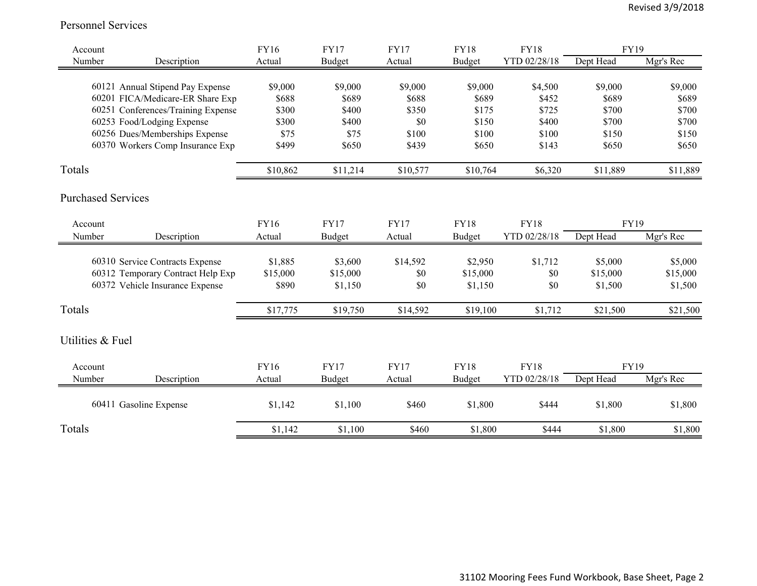#### Personnel Services

| Account                   |                                    | <b>FY16</b> | <b>FY17</b>   | <b>FY17</b> | <b>FY18</b>   | <b>FY18</b>  | <b>FY19</b> |           |
|---------------------------|------------------------------------|-------------|---------------|-------------|---------------|--------------|-------------|-----------|
| Number                    | Description                        | Actual      | <b>Budget</b> | Actual      | <b>Budget</b> | YTD 02/28/18 | Dept Head   | Mgr's Rec |
|                           | 60121 Annual Stipend Pay Expense   | \$9,000     | \$9,000       | \$9,000     | \$9,000       | \$4,500      | \$9,000     | \$9,000   |
|                           | 60201 FICA/Medicare-ER Share Exp   | \$688       | \$689         | \$688       | \$689         | \$452        | \$689       | \$689     |
|                           | 60251 Conferences/Training Expense | \$300       | \$400         | \$350       | \$175         | \$725        | \$700       | \$700     |
|                           | 60253 Food/Lodging Expense         | \$300       | \$400         | \$0         | \$150         | \$400        | \$700       | \$700     |
|                           | 60256 Dues/Memberships Expense     | \$75        | \$75          | \$100       | \$100         | \$100        | \$150       | \$150     |
|                           | 60370 Workers Comp Insurance Exp   |             | \$650         | \$439       | \$650         | \$143        | \$650       |           |
|                           |                                    | \$499       |               |             |               |              |             | \$650     |
| Totals                    |                                    | \$10,862    | \$11,214      | \$10,577    | \$10,764      | \$6,320      | \$11,889    | \$11,889  |
| <b>Purchased Services</b> |                                    |             |               |             |               |              |             |           |
| Account                   |                                    | FY16        | <b>FY17</b>   | <b>FY17</b> | <b>FY18</b>   | <b>FY18</b>  | FY19        |           |
| Number                    | Description                        | Actual      | Budget        | Actual      | Budget        | YTD 02/28/18 | Dept Head   | Mgr's Rec |
|                           |                                    |             |               |             |               |              |             |           |
|                           | 60310 Service Contracts Expense    | \$1,885     | \$3,600       | \$14,592    | \$2,950       | \$1,712      | \$5,000     | \$5,000   |
|                           | 60312 Temporary Contract Help Exp  | \$15,000    | \$15,000      | \$0         | \$15,000      | \$0          | \$15,000    | \$15,000  |
|                           | 60372 Vehicle Insurance Expense    | \$890       | \$1,150       | \$0         | \$1,150       | \$0          | \$1,500     | \$1,500   |
|                           |                                    |             |               |             |               |              |             |           |
| Totals                    |                                    | \$17,775    | \$19,750      | \$14,592    | \$19,100      | \$1,712      | \$21,500    | \$21,500  |
| Utilities & Fuel          |                                    |             |               |             |               |              |             |           |
| Account                   |                                    | FY16        | <b>FY17</b>   | <b>FY17</b> | <b>FY18</b>   | <b>FY18</b>  | <b>FY19</b> |           |
| Number                    | Description                        | Actual      | <b>Budget</b> | Actual      | Budget        | YTD 02/28/18 | Dept Head   | Mgr's Rec |
|                           | 60411 Gasoline Expense             | \$1,142     | \$1,100       | \$460       | \$1,800       | \$444        | \$1,800     | \$1,800   |
| Totals                    |                                    | \$1,142     | \$1,100       | \$460       | \$1,800       | \$444        | \$1,800     | \$1,800   |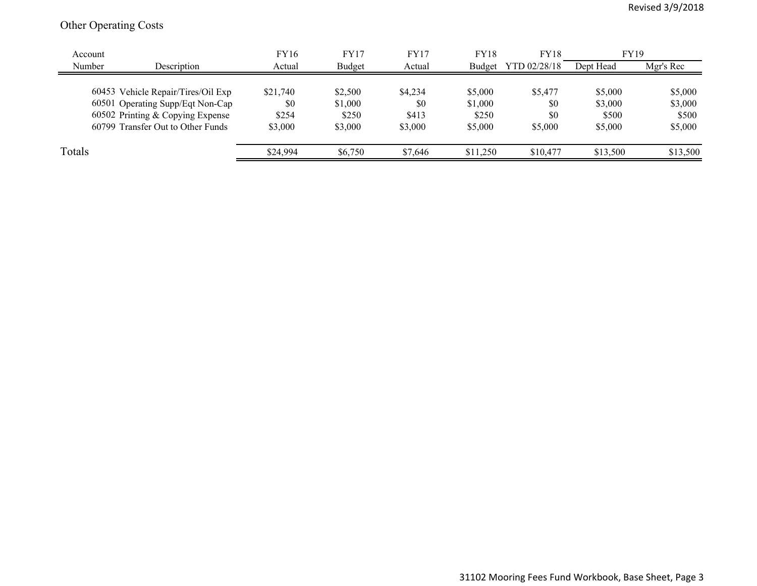## Other Operating Costs

| Account |                                    | FY16     | <b>FY17</b> | <b>FY17</b> | <b>FY18</b> | <b>FY18</b>  | <b>FY19</b> |           |
|---------|------------------------------------|----------|-------------|-------------|-------------|--------------|-------------|-----------|
| Number  | Description                        | Actual   | Budget      | Actual      | Budget      | YTD 02/28/18 | Dept Head   | Mgr's Rec |
|         |                                    |          |             |             |             |              |             |           |
|         | 60453 Vehicle Repair/Tires/Oil Exp | \$21,740 | \$2,500     | \$4,234     | \$5,000     | \$5,477      | \$5,000     | \$5,000   |
|         | 60501 Operating Supp/Eqt Non-Cap   | \$0      | \$1,000     | \$0         | \$1,000     | \$0          | \$3,000     | \$3,000   |
|         | 60502 Printing & Copying Expense   | \$254    | \$250       | \$413       | \$250       | \$0          | \$500       | \$500     |
|         | 60799 Transfer Out to Other Funds  | \$3,000  | \$3,000     | \$3,000     | \$5,000     | \$5,000      | \$5,000     | \$5,000   |
|         |                                    |          |             |             |             |              |             |           |
| Totals  |                                    | \$24,994 | \$6,750     | \$7,646     | \$11,250    | \$10,477     | \$13,500    | \$13,500  |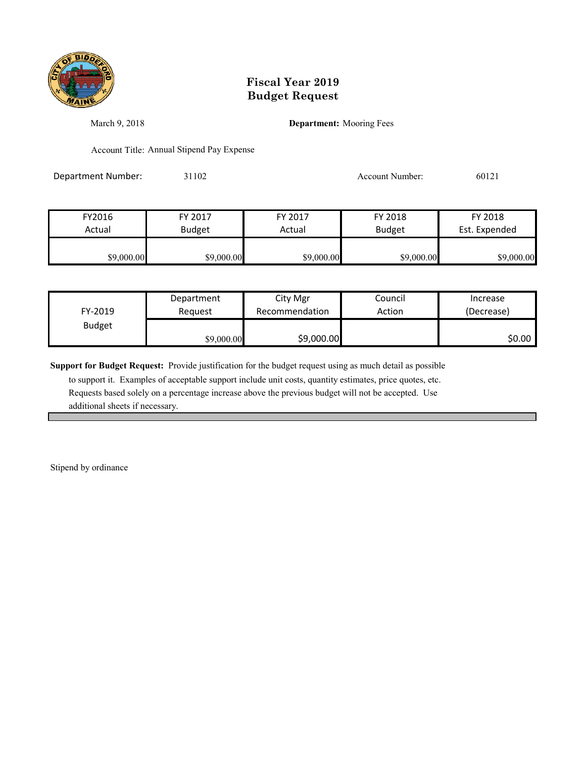

March 9, 2018 **Department:** Mooring Fees

Account Title: Annual Stipend Pay Expense

Department Number: 31102 31102 Account Number: 60121

| FY2016     | FY 2017       | FY 2017    | FY 2018       | FY 2018       |
|------------|---------------|------------|---------------|---------------|
| Actual     | <b>Budget</b> | Actual     | <b>Budget</b> | Est. Expended |
|            |               |            |               |               |
| \$9,000.00 | \$9,000.00    | \$9,000.00 | \$9,000.00    | \$9,000.00    |

| FY-2019       | Department | City Mgr       | Council | Increase   |
|---------------|------------|----------------|---------|------------|
|               | Reauest    | Recommendation | Action  | (Decrease) |
| <b>Budget</b> | \$9,000.00 | \$9,000.00     |         | \$0.00     |

**Support for Budget Request:** Provide justification for the budget request using as much detail as possible

 to support it. Examples of acceptable support include unit costs, quantity estimates, price quotes, etc. Requests based solely on a percentage increase above the previous budget will not be accepted. Use additional sheets if necessary.

Stipend by ordinance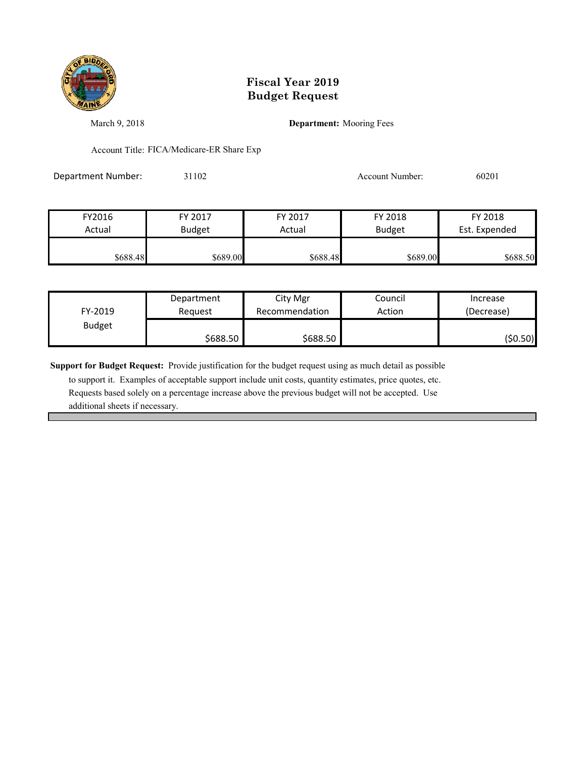

March 9, 2018 **Department:** Mooring Fees

Account Title: FICA/Medicare-ER Share Exp

Department Number: 31102 31102 Account Number: 60201

| FY2016   | FY 2017       | FY 2017  | FY 2018       | FY 2018       |
|----------|---------------|----------|---------------|---------------|
| Actual   | <b>Budget</b> | Actual   | <b>Budget</b> | Est. Expended |
| \$688.48 | \$689.00      | \$688.48 | \$689.00      | \$688.50      |

| FY-2019       | Department | City Mgr       | Council | Increase   |
|---------------|------------|----------------|---------|------------|
|               | Reauest    | Recommendation | Action  | (Decrease) |
| <b>Budget</b> | \$688.50   | \$688.50       |         | (\$0.50)   |

**Support for Budget Request:** Provide justification for the budget request using as much detail as possible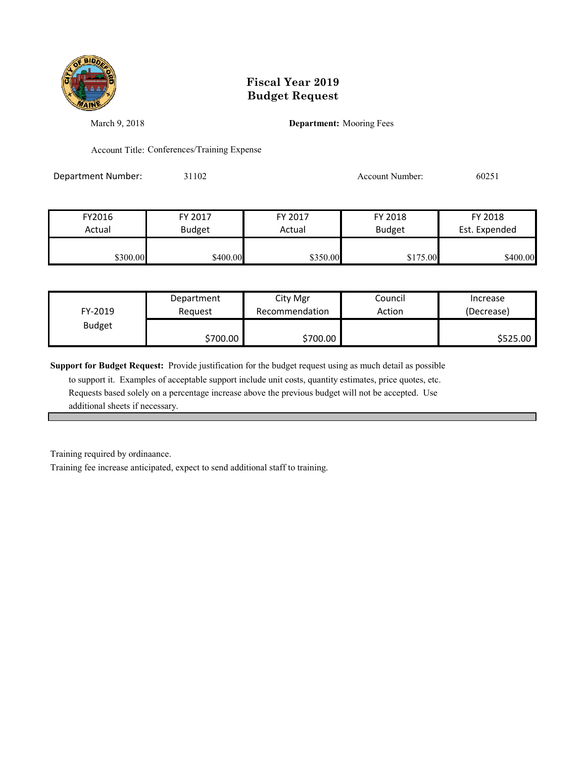

March 9, 2018 **Department:** Mooring Fees

Account Title: Conferences/Training Expense

Department Number: 31102 31102 Account Number: 60251

| FY2016   | FY 2017       | FY 2017  | FY 2018       | FY 2018       |
|----------|---------------|----------|---------------|---------------|
| Actual   | <b>Budget</b> | Actual   | <b>Budget</b> | Est. Expended |
|          |               |          |               |               |
| \$300.00 | \$400.00      | \$350.00 | \$175.00      | \$400.00      |

| FY-2019       | Department | City Mgr       | Council | Increase   |
|---------------|------------|----------------|---------|------------|
|               | Reauest    | Recommendation | Action  | (Decrease) |
| <b>Budget</b> | \$700.00   | \$700.00       |         | \$525.00   |

**Support for Budget Request:** Provide justification for the budget request using as much detail as possible

 to support it. Examples of acceptable support include unit costs, quantity estimates, price quotes, etc. Requests based solely on a percentage increase above the previous budget will not be accepted. Use additional sheets if necessary.

Training required by ordinaance.

Training fee increase anticipated, expect to send additional staff to training.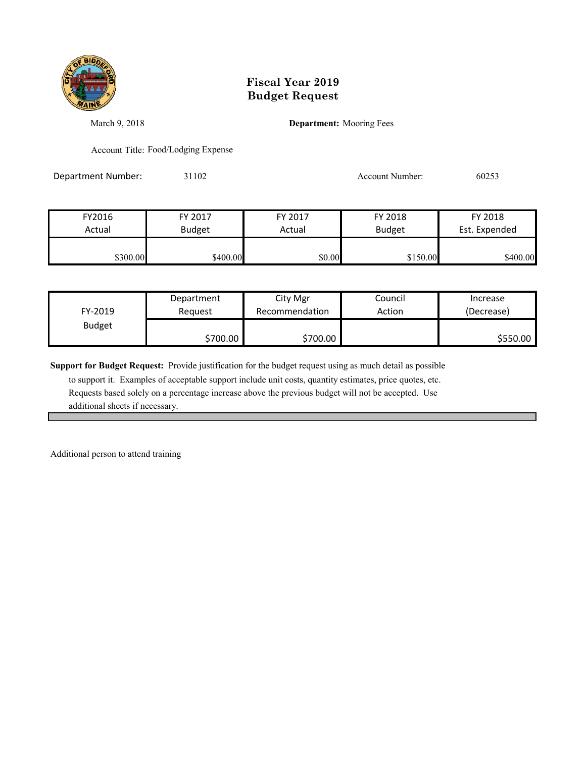

March 9, 2018 **Department:** Mooring Fees

Account Title: Food/Lodging Expense

Department Number: 31102 31102 Account Number: 60253

FY2016 FY 2017 FY 2017 FY 2018 FY 2018 Actual Budget | Actual Budget Est. Expended \$300.00 \$400.00 \$400.00 \$400.00 \$0.00 \$150.00 \$400.00

| FY-2019       | Department | City Mgr       | Council | Increase   |
|---------------|------------|----------------|---------|------------|
|               | Reauest    | Recommendation | Action  | (Decrease) |
| <b>Budget</b> | \$700.00   | \$700.00       |         | \$550.00   |

**Support for Budget Request:** Provide justification for the budget request using as much detail as possible

 to support it. Examples of acceptable support include unit costs, quantity estimates, price quotes, etc. Requests based solely on a percentage increase above the previous budget will not be accepted. Use additional sheets if necessary.

Additional person to attend training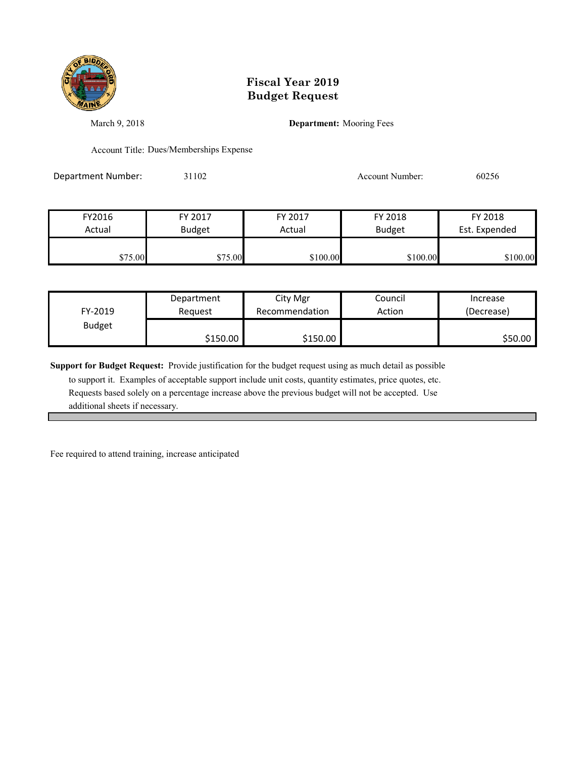

March 9, 2018 **Department:** Mooring Fees

Account Title: Dues/Memberships Expense

Department Number: 31102 31102 Account Number: 60256

| FY2016  | FY 2017       | FY 2017  | FY 2018       | FY 2018       |
|---------|---------------|----------|---------------|---------------|
| Actual  | <b>Budget</b> | Actual   | <b>Budget</b> | Est. Expended |
|         |               |          |               |               |
| \$75.00 | \$75.00       | \$100.00 | \$100.00      | \$100.00      |

| FY-2019       | Department | City Mgr       | Council | Increase   |
|---------------|------------|----------------|---------|------------|
|               | Reauest    | Recommendation | Action  | (Decrease) |
| <b>Budget</b> | \$150.00   | \$150.00       |         | \$50.00    |

**Support for Budget Request:** Provide justification for the budget request using as much detail as possible

 to support it. Examples of acceptable support include unit costs, quantity estimates, price quotes, etc. Requests based solely on a percentage increase above the previous budget will not be accepted. Use additional sheets if necessary.

Fee required to attend training, increase anticipated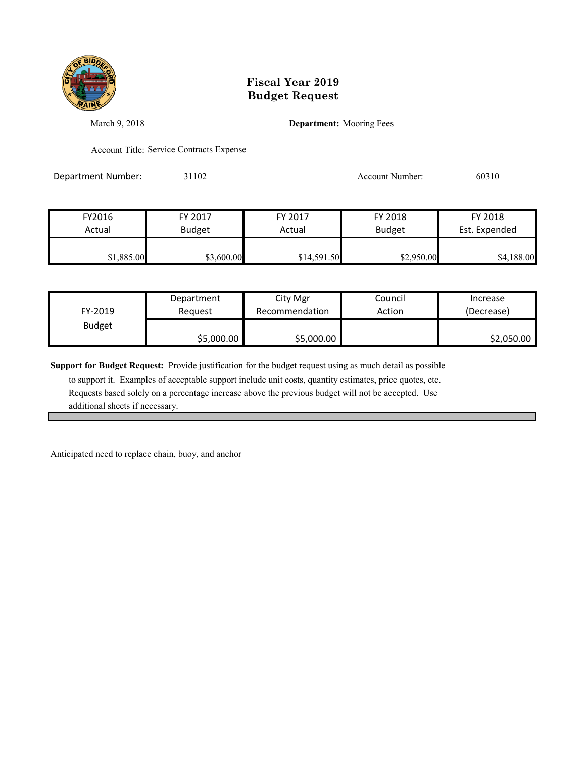

March 9, 2018 **Department:** Mooring Fees

Account Title: Service Contracts Expense

Department Number: 31102 31102 Account Number: 60310

| FY2016     | FY 2017       | FY 2017     | FY 2018       | FY 2018       |
|------------|---------------|-------------|---------------|---------------|
| Actual     | <b>Budget</b> | Actual      | <b>Budget</b> | Est. Expended |
|            |               |             |               |               |
| \$1,885.00 | \$3,600.00    | \$14,591.50 | \$2,950.00    | \$4,188.00    |

| FY-2019       | Department | City Mgr       | Council | Increase   |
|---------------|------------|----------------|---------|------------|
|               | Reauest    | Recommendation | Action  | (Decrease) |
| <b>Budget</b> | \$5,000.00 | \$5,000.00     |         | \$2,050.00 |

**Support for Budget Request:** Provide justification for the budget request using as much detail as possible

 to support it. Examples of acceptable support include unit costs, quantity estimates, price quotes, etc. Requests based solely on a percentage increase above the previous budget will not be accepted. Use additional sheets if necessary.

Anticipated need to replace chain, buoy, and anchor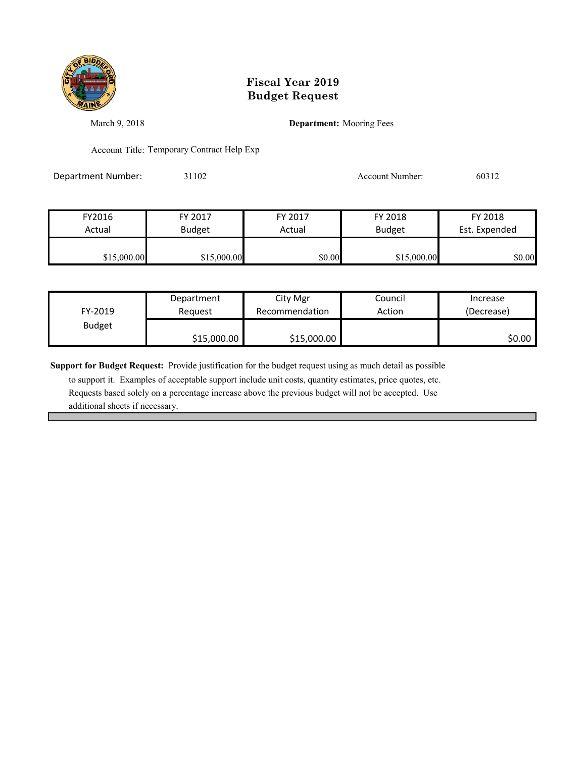

March 9, 2018 **Department:** Mooring Fees

Account Title: Temporary Contract Help Exp

Department Number: 31102 31102 Account Number: 60312

| FY2016      | FY 2017       | FY 2017 | FY 2018       | FY 2018       |
|-------------|---------------|---------|---------------|---------------|
| Actual      | <b>Budget</b> | Actual  | <b>Budget</b> | Est. Expended |
|             |               |         |               |               |
| \$15,000.00 | \$15,000.00   | \$0.00  | \$15,000.00   | \$0.00        |

| FY-2019       | Department  | City Mgr       | Council | Increase   |
|---------------|-------------|----------------|---------|------------|
|               | Reauest     | Recommendation | Action  | (Decrease) |
| <b>Budget</b> | \$15,000.00 | \$15,000.00    |         | \$0.00∣    |

**Support for Budget Request:** Provide justification for the budget request using as much detail as possible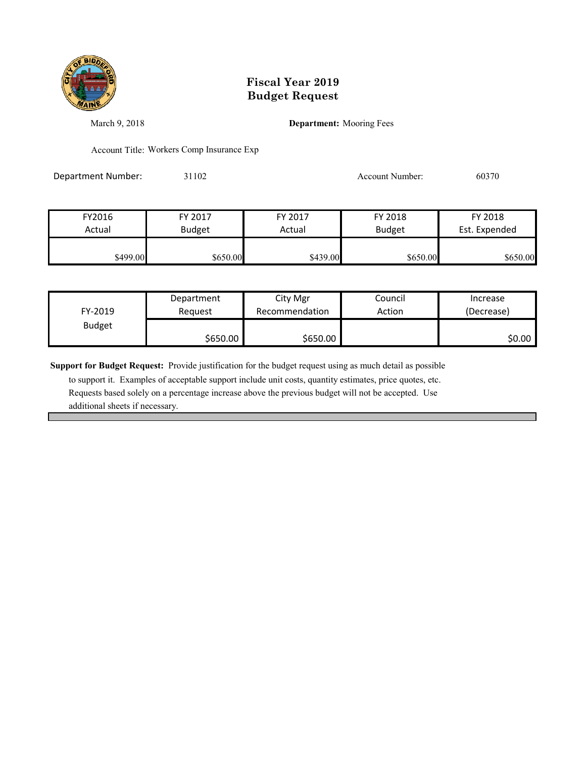

March 9, 2018 **Department:** Mooring Fees

Account Title: Workers Comp Insurance Exp

Department Number: 31102 31102 Account Number: 60370

| FY2016   | FY 2017       | FY 2017  | FY 2018       | FY 2018       |
|----------|---------------|----------|---------------|---------------|
| Actual   | <b>Budget</b> | Actual   | <b>Budget</b> | Est. Expended |
|          |               |          |               |               |
| \$499.00 | \$650.00      | \$439.00 | \$650.00      | \$650.00      |

| FY-2019       | Department | City Mgr       | Council | Increase   |
|---------------|------------|----------------|---------|------------|
|               | Reauest    | Recommendation | Action  | (Decrease) |
| <b>Budget</b> | \$650.00   | \$650.00       |         | \$0.00     |

**Support for Budget Request:** Provide justification for the budget request using as much detail as possible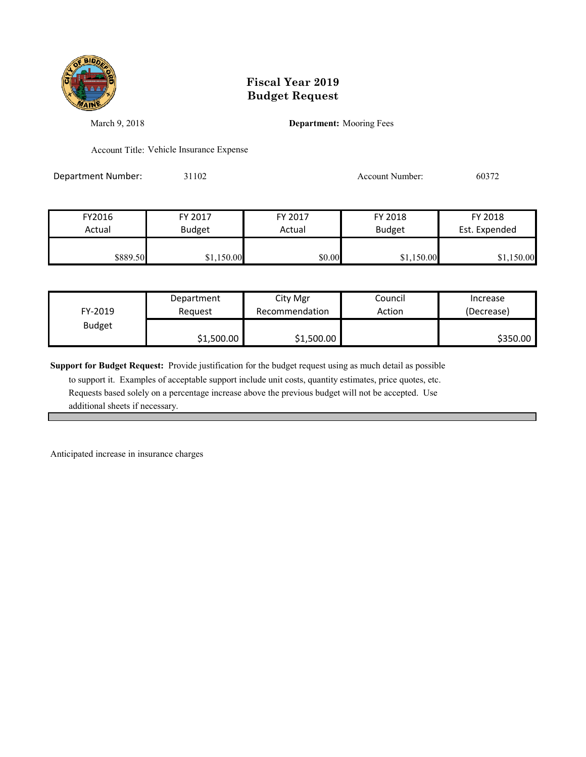

March 9, 2018 **Department:** Mooring Fees

Account Title: Vehicle Insurance Expense

Department Number: 31102 31102 Account Number: 60372

| FY2016   | FY 2017       | FY 2017 | FY 2018       | FY 2018       |
|----------|---------------|---------|---------------|---------------|
| Actual   | <b>Budget</b> | Actual  | <b>Budget</b> | Est. Expended |
| \$889.50 | \$1,150.00    | \$0.00  | \$1,150.00    | \$1,150.00    |

| FY-2019       | Department | City Mgr       | Council | Increase   |
|---------------|------------|----------------|---------|------------|
|               | Reauest    | Recommendation | Action  | (Decrease) |
| <b>Budget</b> | \$1,500.00 | \$1,500.00     |         | \$350.00   |

**Support for Budget Request:** Provide justification for the budget request using as much detail as possible

 to support it. Examples of acceptable support include unit costs, quantity estimates, price quotes, etc. Requests based solely on a percentage increase above the previous budget will not be accepted. Use additional sheets if necessary.

Anticipated increase in insurance charges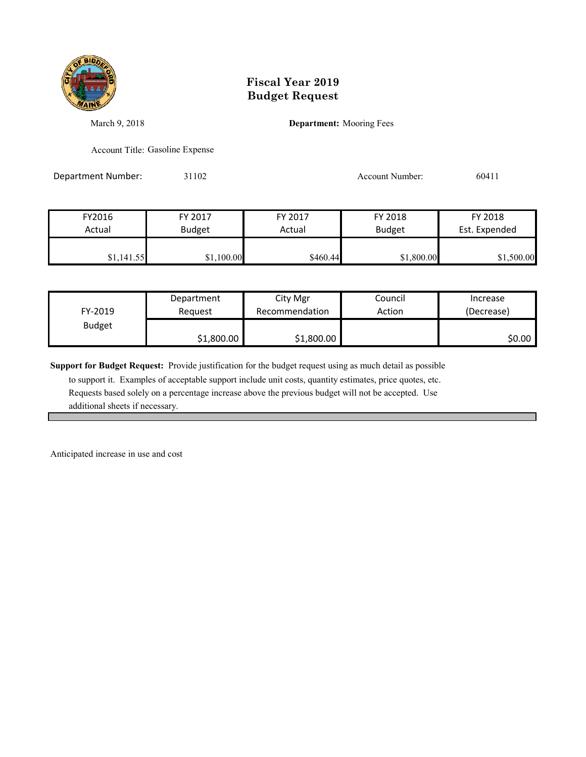

March 9, 2018 **Department:** Mooring Fees

Account Title: Gasoline Expense

Department Number: 31102 31102 Account Number: 60411

| FY2016     | FY 2017       | FY 2017  | FY 2018       | FY 2018       |
|------------|---------------|----------|---------------|---------------|
| Actual     | <b>Budget</b> | Actual   | <b>Budget</b> | Est. Expended |
| \$1,141.55 | \$1,100.00    | \$460.44 | \$1,800.00    | \$1,500.00    |

| FY-2019       | Department | City Mgr       | Council | Increase   |
|---------------|------------|----------------|---------|------------|
|               | Reauest    | Recommendation | Action  | (Decrease) |
| <b>Budget</b> | \$1,800.00 | \$1,800.00     |         | \$0.00     |

**Support for Budget Request:** Provide justification for the budget request using as much detail as possible

 to support it. Examples of acceptable support include unit costs, quantity estimates, price quotes, etc. Requests based solely on a percentage increase above the previous budget will not be accepted. Use additional sheets if necessary.

Anticipated increase in use and cost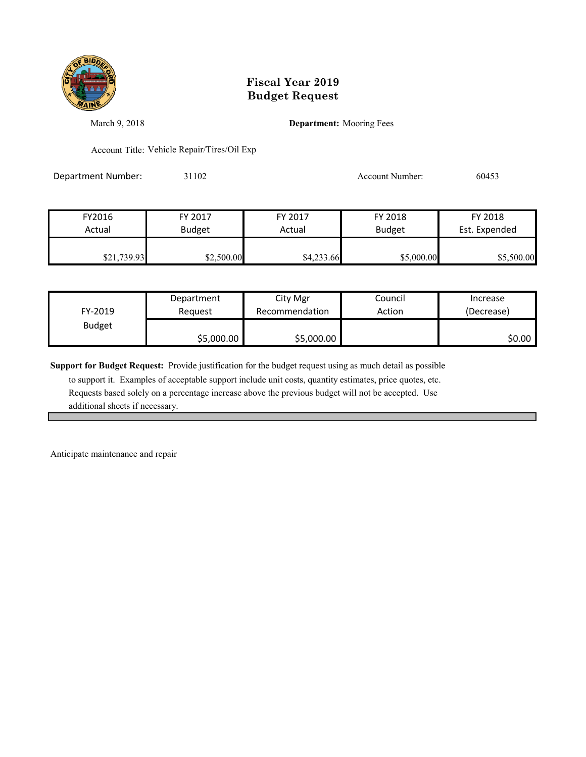

March 9, 2018 **Department:** Mooring Fees

Account Title: Vehicle Repair/Tires/Oil Exp

Department Number: 31102 31102 Account Number: 60453

| FY2016      | FY 2017       | FY 2017    | FY 2018       | FY 2018       |
|-------------|---------------|------------|---------------|---------------|
| Actual      | <b>Budget</b> | Actual     | <b>Budget</b> | Est. Expended |
|             |               |            |               |               |
| \$21,739.93 | \$2,500.00    | \$4,233.66 | \$5,000.00    | \$5,500.00    |

| FY-2019       | Department | City Mgr       | Council | Increase   |
|---------------|------------|----------------|---------|------------|
|               | Reauest    | Recommendation | Action  | (Decrease) |
| <b>Budget</b> | \$5,000.00 | \$5,000.00     |         | \$0.00     |

**Support for Budget Request:** Provide justification for the budget request using as much detail as possible

 to support it. Examples of acceptable support include unit costs, quantity estimates, price quotes, etc. Requests based solely on a percentage increase above the previous budget will not be accepted. Use additional sheets if necessary.

Anticipate maintenance and repair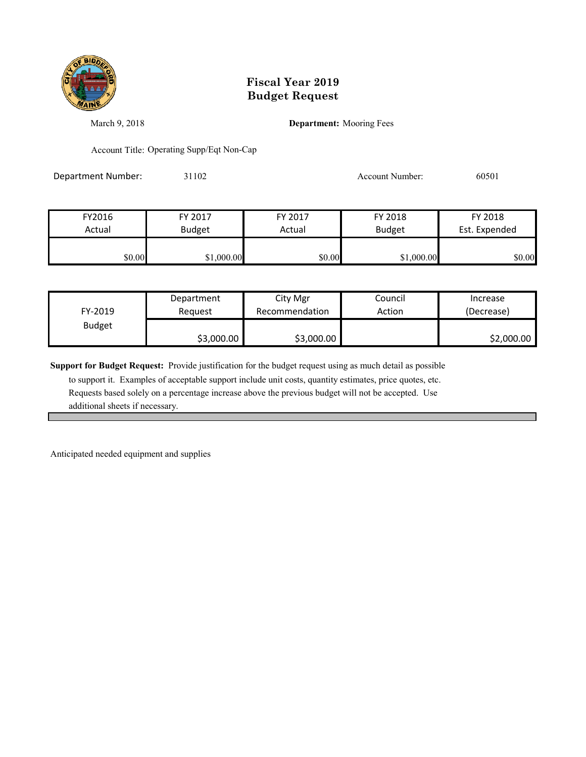

March 9, 2018 **Department:** Mooring Fees

Account Title: Operating Supp/Eqt Non-Cap

Department Number: 31102 31102 Account Number: 60501

| FY2016 | FY 2017       | FY 2017 | FY 2018       | FY 2018       |
|--------|---------------|---------|---------------|---------------|
| Actual | <b>Budget</b> | Actual  | <b>Budget</b> | Est. Expended |
|        |               |         |               |               |
| \$0.00 | \$1,000.00    | \$0.00  | \$1,000.00    | \$0.00        |

| FY-2019       | Department | City Mgr       | Council | Increase   |
|---------------|------------|----------------|---------|------------|
|               | Reauest    | Recommendation | Action  | (Decrease) |
| <b>Budget</b> | \$3,000.00 | \$3,000.00     |         | \$2,000.00 |

**Support for Budget Request:** Provide justification for the budget request using as much detail as possible

 to support it. Examples of acceptable support include unit costs, quantity estimates, price quotes, etc. Requests based solely on a percentage increase above the previous budget will not be accepted. Use additional sheets if necessary.

Anticipated needed equipment and supplies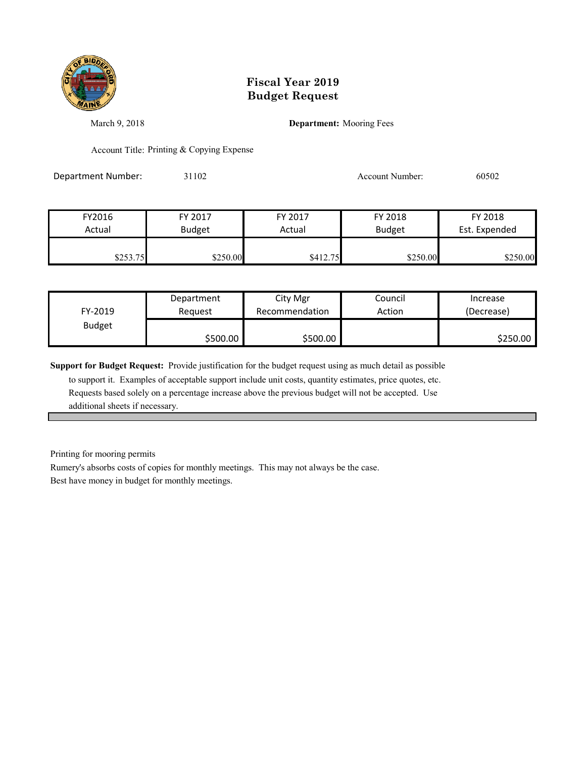

March 9, 2018 **Department:** Mooring Fees

Account Title: Printing & Copying Expense

Department Number: 31102 31102 Account Number: 60502

| FY2016   | FY 2017       | FY 2017  | FY 2018       | FY 2018       |
|----------|---------------|----------|---------------|---------------|
| Actual   | <b>Budget</b> | Actual   | <b>Budget</b> | Est. Expended |
|          |               |          |               |               |
| \$253.75 | \$250.00      | \$412.75 | \$250.00      | \$250.00      |

| FY-2019       | Department | City Mgr       | Council | Increase   |
|---------------|------------|----------------|---------|------------|
|               | Reauest    | Recommendation | Action  | (Decrease) |
| <b>Budget</b> | \$500.00   | \$500.00       |         | \$250.00   |

**Support for Budget Request:** Provide justification for the budget request using as much detail as possible

 to support it. Examples of acceptable support include unit costs, quantity estimates, price quotes, etc. Requests based solely on a percentage increase above the previous budget will not be accepted. Use additional sheets if necessary.

Printing for mooring permits

Rumery's absorbs costs of copies for monthly meetings. This may not always be the case.

Best have money in budget for monthly meetings.